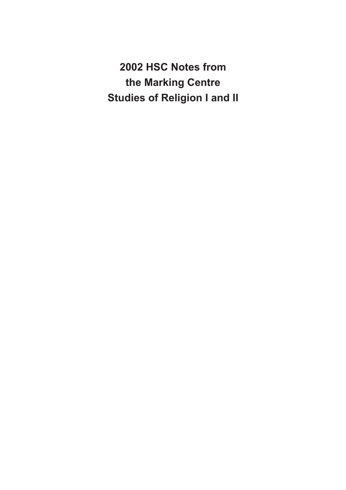**2002 HSC Notes from the Marking Centre Studies of Religion I and II**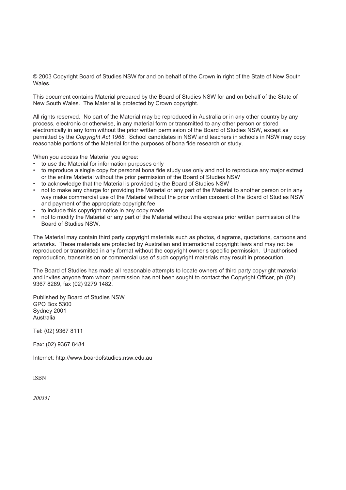© 2003 Copyright Board of Studies NSW for and on behalf of the Crown in right of the State of New South Wales.

This document contains Material prepared by the Board of Studies NSW for and on behalf of the State of New South Wales. The Material is protected by Crown copyright.

All rights reserved. No part of the Material may be reproduced in Australia or in any other country by any process, electronic or otherwise, in any material form or transmitted to any other person or stored electronically in any form without the prior written permission of the Board of Studies NSW, except as permitted by the *Copyright Act 1968*. School candidates in NSW and teachers in schools in NSW may copy reasonable portions of the Material for the purposes of bona fide research or study.

When you access the Material you agree:

- to use the Material for information purposes only
- to reproduce a single copy for personal bona fide study use only and not to reproduce any major extract or the entire Material without the prior permission of the Board of Studies NSW
- to acknowledge that the Material is provided by the Board of Studies NSW
- not to make any charge for providing the Material or any part of the Material to another person or in any way make commercial use of the Material without the prior written consent of the Board of Studies NSW and payment of the appropriate copyright fee
- to include this copyright notice in any copy made
- not to modify the Material or any part of the Material without the express prior written permission of the Board of Studies NSW.

The Material may contain third party copyright materials such as photos, diagrams, quotations, cartoons and artworks. These materials are protected by Australian and international copyright laws and may not be reproduced or transmitted in any format without the copyright owner's specific permission. Unauthorised reproduction, transmission or commercial use of such copyright materials may result in prosecution.

The Board of Studies has made all reasonable attempts to locate owners of third party copyright material and invites anyone from whom permission has not been sought to contact the Copyright Officer, ph (02) 9367 8289, fax (02) 9279 1482.

Published by Board of Studies NSW GPO Box 5300 Sydney 2001 Australia

Tel: (02) 9367 8111

Fax: (02) 9367 8484

Internet: http://www.boardofstudies.nsw.edu.au

ISBN

200351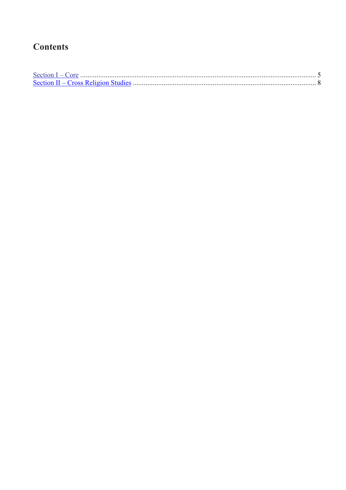# **Contents**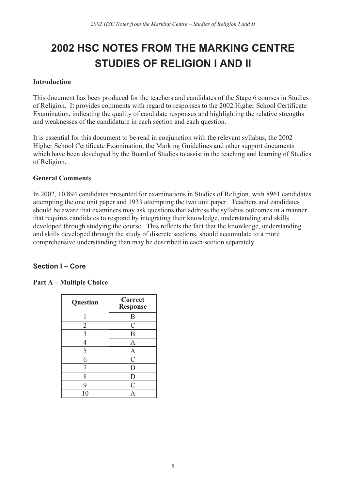# **2002 HSC NOTES FROM THE MARKING CENTRE STUDIES OF RELIGION I AND II**

#### Introduction

This document has been produced for the teachers and candidates of the Stage 6 courses in Studies of Religion. It provides comments with regard to responses to the 2002 Higher School Certificate Examination, indicating the quality of candidate responses and highlighting the relative strengths and weaknesses of the candidature in each section and each question.

It is essential for this document to be read in conjunction with the relevant syllabus, the 2002 Higher School Certificate Examination, the Marking Guidelines and other support documents which have been developed by the Board of Studies to assist in the teaching and learning of Studies of Religion.

#### General Comments

In 2002, 10 894 candidates presented for examinations in Studies of Religion, with 8961 candidates attempting the one unit paper and 1933 attempting the two unit paper. Teachers and candidates should be aware that examiners may ask questions that address the syllabus outcomes in a manner that requires candidates to respond by integrating their knowledge, understanding and skills developed through studying the course. This reflects the fact that the knowledge, understanding and skills developed through the study of discrete sections, should accumulate to a more comprehensive understanding than may be described in each section separately.

#### **Section I – Core**

#### Part A – Multiple Choice

| <b>Question</b> | Correct<br><b>Response</b> |
|-----------------|----------------------------|
|                 | B                          |
| $\overline{2}$  | $\mathcal{C}$              |
| 3               | B                          |
| 4               | A                          |
| 5               | A                          |
| 6               | $\mathcal{C}$              |
|                 | D                          |
| 8               | D                          |
| 9               | $\mathcal{C}$              |
| 10              | $\Delta$                   |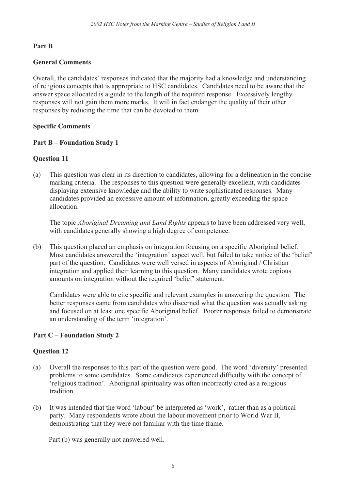#### Part B

#### General Comments

Overall, the candidates' responses indicated that the majority had a knowledge and understanding of religious concepts that is appropriate to HSC candidates. Candidates need to be aware that the answer space allocated is a guide to the length of the required response. Excessively lengthy responses will not gain them more marks. It will in fact endanger the quality of their other responses by reducing the time that can be devoted to them.

#### Specific Comments

#### Part B – Foundation Study 1

#### Question 11

(a) This question was clear in its direction to candidates, allowing for a delineation in the concise marking criteria. The responses to this question were generally excellent, with candidates displaying extensive knowledge and the ability to write sophisticated responses. Many candidates provided an excessive amount of information, greatly exceeding the space allocation.

The topic *Aboriginal Dreaming and Land Rights* appears to have been addressed very well, with candidates generally showing a high degree of competence.

(b) This question placed an emphasis on integration focusing on a specific Aboriginal belief. Most candidates answered the 'integration' aspect well, but failed to take notice of the 'belief' part of the question. Candidates were well versed in aspects of Aboriginal / Christian integration and applied their learning to this question. Many candidates wrote copious amounts on integration without the required 'belief' statement.

Candidates were able to cite specific and relevant examples in answering the question. The better responses came from candidates who discerned what the question was actually asking and focused on at least one specific Aboriginal belief. Poorer responses failed to demonstrate an understanding of the term 'integration'.

#### Part C – Foundation Study 2

#### Question 12

- (a) Overall the responses to this part of the question were good. The word 'diversity' presented problems to some candidates. Some candidates experienced difficulty with the concept of 'religious tradition'. Aboriginal spirituality was often incorrectly cited as a religious tradition.
- (b) It was intended that the word 'labour' be interpreted as 'work', rather than as a political party. Many respondents wrote about the labour movement prior to World War II, demonstrating that they were not familiar with the time frame.

Part (b) was generally not answered well.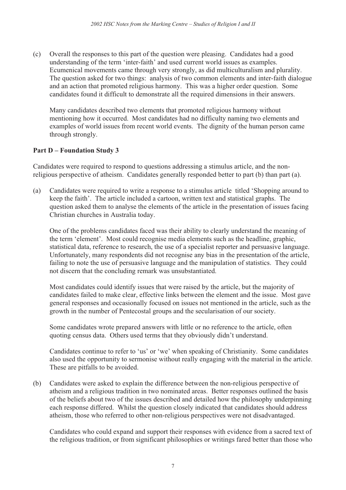(c) Overall the responses to this part of the question were pleasing. Candidates had a good understanding of the term 'inter-faith' and used current world issues as examples. Ecumenical movements came through very strongly, as did multiculturalism and plurality. The question asked for two things: analysis of two common elements and inter-faith dialogue and an action that promoted religious harmony. This was a higher order question. Some candidates found it difficult to demonstrate all the required dimensions in their answers.

Many candidates described two elements that promoted religious harmony without mentioning how it occurred. Most candidates had no difficulty naming two elements and examples of world issues from recent world events. The dignity of the human person came through strongly.

#### Part D – Foundation Study 3

Candidates were required to respond to questions addressing a stimulus article, and the nonreligious perspective of atheism. Candidates generally responded better to part (b) than part (a).

(a) Candidates were required to write a response to a stimulus article titled 'Shopping around to keep the faith'. The article included a cartoon, written text and statistical graphs. The question asked them to analyse the elements of the article in the presentation of issues facing Christian churches in Australia today.

One of the problems candidates faced was their ability to clearly understand the meaning of the term 'element'. Most could recognise media elements such as the headline, graphic, statistical data, reference to research, the use of a specialist reporter and persuasive language. Unfortunately, many respondents did not recognise any bias in the presentation of the article, failing to note the use of persuasive language and the manipulation of statistics. They could not discern that the concluding remark was unsubstantiated.

Most candidates could identify issues that were raised by the article, but the majority of candidates failed to make clear, effective links between the element and the issue. Most gave general responses and occasionally focused on issues not mentioned in the article, such as the growth in the number of Pentecostal groups and the secularisation of our society.

Some candidates wrote prepared answers with little or no reference to the article, often quoting census data. Others used terms that they obviously didn't understand.

Candidates continue to refer to 'us' or 'we' when speaking of Christianity. Some candidates also used the opportunity to sermonise without really engaging with the material in the article. These are pitfalls to be avoided.

(b) Candidates were asked to explain the difference between the non-religious perspective of atheism and a religious tradition in two nominated areas. Better responses outlined the basis of the beliefs about two of the issues described and detailed how the philosophy underpinning each response differed. Whilst the question closely indicated that candidates should address atheism, those who referred to other non-religious perspectives were not disadvantaged.

Candidates who could expand and support their responses with evidence from a sacred text of the religious tradition, or from significant philosophies or writings fared better than those who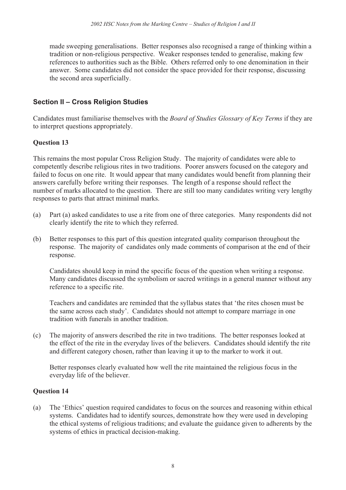made sweeping generalisations. Better responses also recognised a range of thinking within a tradition or non-religious perspective. Weaker responses tended to generalise, making few references to authorities such as the Bible. Others referred only to one denomination in their answer. Some candidates did not consider the space provided for their response, discussing the second area superficially.

# **Section II – Cross Religion Studies**

Candidates must familiarise themselves with the Board of Studies Glossary of Key Terms if they are to interpret questions appropriately.

## Question 13

This remains the most popular Cross Religion Study. The majority of candidates were able to competently describe religious rites in two traditions. Poorer answers focused on the category and failed to focus on one rite. It would appear that many candidates would benefit from planning their answers carefully before writing their responses. The length of a response should reflect the number of marks allocated to the question. There are still too many candidates writing very lengthy responses to parts that attract minimal marks.

- (a) Part (a) asked candidates to use a rite from one of three categories. Many respondents did not clearly identify the rite to which they referred.
- (b) Better responses to this part of this question integrated quality comparison throughout the response. The majority of candidates only made comments of comparison at the end of their response.

Candidates should keep in mind the specific focus of the question when writing a response. Many candidates discussed the symbolism or sacred writings in a general manner without any reference to a specific rite.

Teachers and candidates are reminded that the syllabus states that 'the rites chosen must be the same across each study'. Candidates should not attempt to compare marriage in one tradition with funerals in another tradition.

(c) The majority of answers described the rite in two traditions. The better responses looked at the effect of the rite in the everyday lives of the believers. Candidates should identify the rite and different category chosen, rather than leaving it up to the marker to work it out.

Better responses clearly evaluated how well the rite maintained the religious focus in the everyday life of the believer.

## Question 14

(a) The 'Ethics' question required candidates to focus on the sources and reasoning within ethical systems. Candidates had to identify sources, demonstrate how they were used in developing the ethical systems of religious traditions; and evaluate the guidance given to adherents by the systems of ethics in practical decision-making.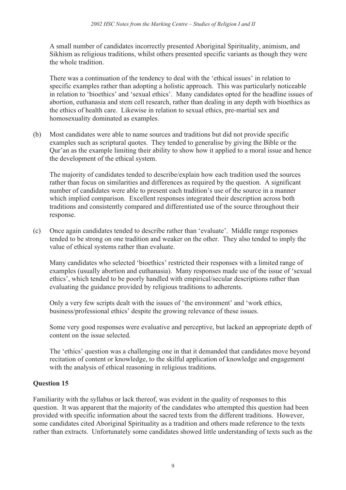A small number of candidates incorrectly presented Aboriginal Spirituality, animism, and Sikhism as religious traditions, whilst others presented specific variants as though they were the whole tradition.

There was a continuation of the tendency to deal with the 'ethical issues' in relation to specific examples rather than adopting a holistic approach. This was particularly noticeable in relation to 'bioethics' and 'sexual ethics'. Many candidates opted for the headline issues of abortion, euthanasia and stem cell research, rather than dealing in any depth with bioethics as the ethics of health care. Likewise in relation to sexual ethics, pre-martial sex and homosexuality dominated as examples.

(b) Most candidates were able to name sources and traditions but did not provide specific examples such as scriptural quotes. They tended to generalise by giving the Bible or the Qur'an as the example limiting their ability to show how it applied to a moral issue and hence the development of the ethical system.

The majority of candidates tended to describe/explain how each tradition used the sources rather than focus on similarities and differences as required by the question. A significant number of candidates were able to present each tradition's use of the source in a manner which implied comparison. Excellent responses integrated their description across both traditions and consistently compared and differentiated use of the source throughout their response.

(c) Once again candidates tended to describe rather than 'evaluate'. Middle range responses tended to be strong on one tradition and weaker on the other. They also tended to imply the value of ethical systems rather than evaluate.

Many candidates who selected 'bioethics' restricted their responses with a limited range of examples (usually abortion and euthanasia). Many responses made use of the issue of 'sexual ethics', which tended to be poorly handled with empirical/secular descriptions rather than evaluating the guidance provided by religious traditions to adherents.

Only a very few scripts dealt with the issues of 'the environment' and 'work ethics, business/professional ethics' despite the growing relevance of these issues.

Some very good responses were evaluative and perceptive, but lacked an appropriate depth of content on the issue selected.

The 'ethics' question was a challenging one in that it demanded that candidates move beyond recitation of content or knowledge, to the skilful application of knowledge and engagement with the analysis of ethical reasoning in religious traditions.

## Question 15

Familiarity with the syllabus or lack thereof, was evident in the quality of responses to this question. It was apparent that the majority of the candidates who attempted this question had been provided with specific information about the sacred texts from the different traditions. However, some candidates cited Aboriginal Spirituality as a tradition and others made reference to the texts rather than extracts. Unfortunately some candidates showed little understanding of texts such as the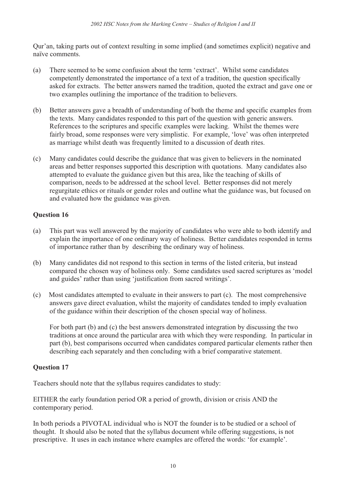Qur'an, taking parts out of context resulting in some implied (and sometimes explicit) negative and naïve comments.

- (a) There seemed to be some confusion about the term 'extract'. Whilst some candidates competently demonstrated the importance of a text of a tradition, the question specifically asked for extracts. The better answers named the tradition, quoted the extract and gave one or two examples outlining the importance of the tradition to believers.
- (b) Better answers gave a breadth of understanding of both the theme and specific examples from the texts. Many candidates responded to this part of the question with generic answers. References to the scriptures and specific examples were lacking. Whilst the themes were fairly broad, some responses were very simplistic. For example, 'love' was often interpreted as marriage whilst death was frequently limited to a discussion of death rites.
- (c) Many candidates could describe the guidance that was given to believers in the nominated areas and better responses supported this description with quotations. Many candidates also attempted to evaluate the guidance given but this area, like the teaching of skills of comparison, needs to be addressed at the school level. Better responses did not merely regurgitate ethics or rituals or gender roles and outline what the guidance was, but focused on and evaluated how the guidance was given.

## Question 16

- (a) This part was well answered by the majority of candidates who were able to both identify and explain the importance of one ordinary way of holiness. Better candidates responded in terms of importance rather than by describing the ordinary way of holiness.
- (b) Many candidates did not respond to this section in terms of the listed criteria, but instead compared the chosen way of holiness only. Some candidates used sacred scriptures as 'model and guides' rather than using 'justification from sacred writings'.
- (c) Most candidates attempted to evaluate in their answers to part (c). The most comprehensive answers gave direct evaluation, whilst the majority of candidates tended to imply evaluation of the guidance within their description of the chosen special way of holiness.

For both part (b) and (c) the best answers demonstrated integration by discussing the two traditions at once around the particular area with which they were responding. In particular in part (b), best comparisons occurred when candidates compared particular elements rather then describing each separately and then concluding with a brief comparative statement.

## Question 17

Teachers should note that the syllabus requires candidates to study:

EITHER the early foundation period OR a period of growth, division or crisis AND the contemporary period.

In both periods a PIVOTAL individual who is NOT the founder is to be studied or a school of thought. It should also be noted that the syllabus document while offering suggestions, is not prescriptive. It uses in each instance where examples are offered the words: 'for example'.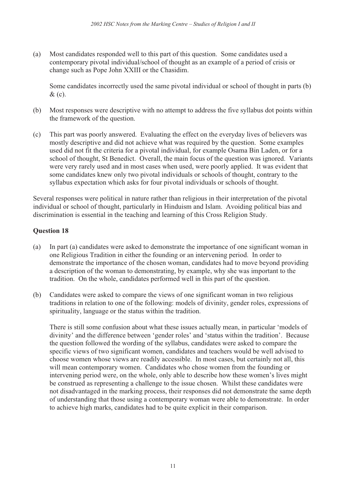(a) Most candidates responded well to this part of this question. Some candidates used a contemporary pivotal individual/school of thought as an example of a period of crisis or change such as Pope John XXIII or the Chasidim.

Some candidates incorrectly used the same pivotal individual or school of thought in parts (b) & (c).

- (b) Most responses were descriptive with no attempt to address the five syllabus dot points within the framework of the question.
- (c) This part was poorly answered. Evaluating the effect on the everyday lives of believers was mostly descriptive and did not achieve what was required by the question. Some examples used did not fit the criteria for a pivotal individual, for example Osama Bin Laden, or for a school of thought, St Benedict. Overall, the main focus of the question was ignored. Variants were very rarely used and in most cases when used, were poorly applied. It was evident that some candidates knew only two pivotal individuals or schools of thought, contrary to the syllabus expectation which asks for four pivotal individuals or schools of thought.

Several responses were political in nature rather than religious in their interpretation of the pivotal individual or school of thought, particularly in Hinduism and Islam. Avoiding political bias and discrimination is essential in the teaching and learning of this Cross Religion Study.

#### Question 18

- (a) In part (a) candidates were asked to demonstrate the importance of one significant woman in one Religious Tradition in either the founding or an intervening period. In order to demonstrate the importance of the chosen woman, candidates had to move beyond providing a description of the woman to demonstrating, by example, why she was important to the tradition. On the whole, candidates performed well in this part of the question.
- (b) Candidates were asked to compare the views of one significant woman in two religious traditions in relation to one of the following: models of divinity, gender roles, expressions of spirituality, language or the status within the tradition.

There is still some confusion about what these issues actually mean, in particular 'models of divinity' and the difference between 'gender roles' and 'status within the tradition'. Because the question followed the wording of the syllabus, candidates were asked to compare the specific views of two significant women, candidates and teachers would be well advised to choose women whose views are readily accessible. In most cases, but certainly not all, this will mean contemporary women. Candidates who chose women from the founding or intervening period were, on the whole, only able to describe how these women's lives might be construed as representing a challenge to the issue chosen. Whilst these candidates were not disadvantaged in the marking process, their responses did not demonstrate the same depth of understanding that those using a contemporary woman were able to demonstrate. In order to achieve high marks, candidates had to be quite explicit in their comparison.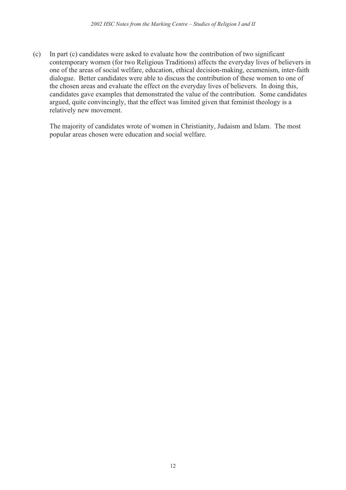(c) In part (c) candidates were asked to evaluate how the contribution of two significant contemporary women (for two Religious Traditions) affects the everyday lives of believers in one of the areas of social welfare, education, ethical decision-making, ecumenism, inter-faith dialogue. Better candidates were able to discuss the contribution of these women to one of the chosen areas and evaluate the effect on the everyday lives of believers. In doing this, candidates gave examples that demonstrated the value of the contribution. Some candidates argued, quite convincingly, that the effect was limited given that feminist theology is a relatively new movement.

The majority of candidates wrote of women in Christianity, Judaism and Islam. The most popular areas chosen were education and social welfare.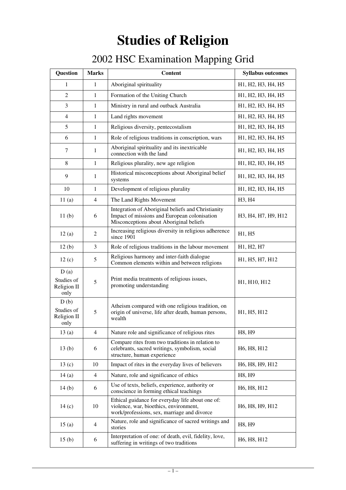# **Studies of Religion**

# 2002 HSC Examination Mapping Grid

| <b>Question</b>                           | <b>Marks</b>   | <b>Content</b>                                                                                                                                | <b>Syllabus outcomes</b>                                                            |
|-------------------------------------------|----------------|-----------------------------------------------------------------------------------------------------------------------------------------------|-------------------------------------------------------------------------------------|
| 1                                         | 1              | Aboriginal spirituality                                                                                                                       | H1, H2, H3, H4, H5                                                                  |
| $\overline{2}$                            | $\mathbf{1}$   | Formation of the Uniting Church                                                                                                               | H <sub>1</sub> , H <sub>2</sub> , H <sub>3</sub> , H <sub>4</sub> , H <sub>5</sub>  |
| 3                                         | $\mathbf{1}$   | Ministry in rural and outback Australia                                                                                                       | H1, H2, H3, H4, H5                                                                  |
| $\overline{4}$                            | $\mathbf{1}$   | Land rights movement                                                                                                                          | H <sub>1</sub> , H <sub>2</sub> , H <sub>3</sub> , H <sub>4</sub> , H <sub>5</sub>  |
| 5                                         | 1              | Religious diversity, pentecostalism                                                                                                           | H <sub>1</sub> , H <sub>2</sub> , H <sub>3</sub> , H <sub>4</sub> , H <sub>5</sub>  |
| 6                                         | $\mathbf{1}$   | Role of religious traditions in conscription, wars                                                                                            | H <sub>1</sub> , H <sub>2</sub> , H <sub>3</sub> , H <sub>4</sub> , H <sub>5</sub>  |
| 7                                         | 1              | Aboriginal spirituality and its inextricable<br>connection with the land                                                                      | H <sub>1</sub> , H <sub>2</sub> , H <sub>3</sub> , H <sub>4</sub> , H <sub>5</sub>  |
| 8                                         | $\mathbf{1}$   | Religious plurality, new age religion                                                                                                         | H <sub>1</sub> , H <sub>2</sub> , H <sub>3</sub> , H <sub>4</sub> , H <sub>5</sub>  |
| 9                                         | 1              | Historical misconceptions about Aboriginal belief<br>systems                                                                                  | H <sub>1</sub> , H <sub>2</sub> , H <sub>3</sub> , H <sub>4</sub> , H <sub>5</sub>  |
| 10                                        | $\mathbf{1}$   | Development of religious plurality                                                                                                            | H1, H2, H3, H4, H5                                                                  |
| 11(a)                                     | $\overline{4}$ | The Land Rights Movement                                                                                                                      | H <sub>3</sub> , H <sub>4</sub>                                                     |
| 11(b)                                     | 6              | Integration of Aboriginal beliefs and Christianity<br>Impact of missions and European colonisation<br>Misconceptions about Aboriginal beliefs | H <sub>3</sub> , H <sub>4</sub> , H <sub>7</sub> , H <sub>9</sub> , H <sub>12</sub> |
| 12(a)                                     | $\overline{2}$ | Increasing religious diversity in religious adherence<br>since 1901                                                                           | H1, H5                                                                              |
| 12(b)                                     | 3              | Role of religious traditions in the labour movement                                                                                           | H1, H2, H7                                                                          |
| 12(c)                                     | 5              | Religious harmony and inter-faith dialogue<br>Common elements within and between religions                                                    | H1, H5, H7, H12                                                                     |
| D(a)<br>Studies of<br>Religion II<br>only | 5              | Print media treatments of religious issues,<br>promoting understanding                                                                        | H1, H10, H12                                                                        |
| D(b)<br>Studies of<br>Religion II<br>only | 5              | Atheism compared with one religious tradition, on<br>origin of universe, life after death, human persons,<br>wealth                           | H <sub>1</sub> , H <sub>5</sub> , H <sub>12</sub>                                   |
| 13(a)                                     | $\overline{4}$ | Nature role and significance of religious rites                                                                                               | H8, H9                                                                              |
| 13(b)                                     | 6              | Compare rites from two traditions in relation to<br>celebrants, sacred writings, symbolism, social<br>structure, human experience             | H <sub>6</sub> , H <sub>8</sub> , H <sub>12</sub>                                   |
| 13(c)                                     | 10             | Impact of rites in the everyday lives of believers                                                                                            | H6, H8, H9, H12                                                                     |
| 14(a)                                     | 4              | Nature, role and significance of ethics                                                                                                       | H8, H9                                                                              |
| 14(b)                                     | 6              | Use of texts, beliefs, experience, authority or<br>conscience in forming ethical teachings                                                    | H <sub>6</sub> , H <sub>8</sub> , H <sub>12</sub>                                   |
| 14(c)                                     | 10             | Ethical guidance for everyday life about one of:<br>violence, war, bioethics, environment,<br>work/professions, sex, marriage and divorce     | H6, H8, H9, H12                                                                     |
| 15(a)                                     | $\overline{4}$ | Nature, role and significance of sacred writings and<br>stories                                                                               | H8, H9                                                                              |
| 15(b)                                     | 6              | Interpretation of one: of death, evil, fidelity, love,<br>suffering in writings of two traditions                                             | H <sub>6</sub> , H <sub>8</sub> , H <sub>12</sub>                                   |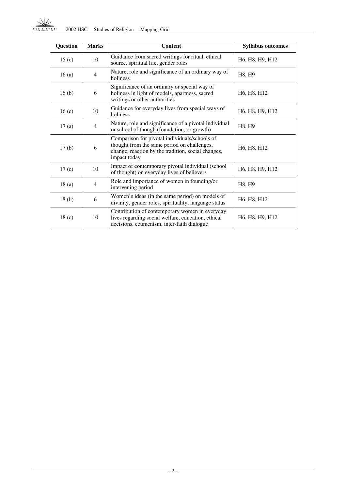| Question          | <b>Marks</b>   | <b>Content</b>                                                                                                                                                     | <b>Syllabus outcomes</b>                                           |
|-------------------|----------------|--------------------------------------------------------------------------------------------------------------------------------------------------------------------|--------------------------------------------------------------------|
| 15 <sub>(c)</sub> | 10             | Guidance from sacred writings for ritual, ethical<br>source, spiritual life, gender roles                                                                          | H6, H8, H9, H12                                                    |
| 16(a)             | $\overline{4}$ | Nature, role and significance of an ordinary way of<br>holiness                                                                                                    | H8, H9                                                             |
| 16 <sub>(b)</sub> | 6              | Significance of an ordinary or special way of<br>holiness in light of models, apartness, sacred<br>writings or other authorities                                   | H6, H8, H12                                                        |
| 16 <sub>(c)</sub> | 10             | Guidance for everyday lives from special ways of<br>holiness                                                                                                       | H6, H8, H9, H12                                                    |
| 17(a)             | $\overline{4}$ | Nature, role and significance of a pivotal individual<br>or school of though (foundation, or growth)                                                               | H8, H9                                                             |
| 17 <sub>(b)</sub> | 6              | Comparison for pivotal individuals/schools of<br>thought from the same period on challenges,<br>change, reaction by the tradition, social changes,<br>impact today | H6, H8, H12                                                        |
| 17 <sub>(c)</sub> | 10             | Impact of contemporary pivotal individual (school<br>of thought) on everyday lives of believers                                                                    | H6, H8, H9, H12                                                    |
| 18(a)             | $\overline{4}$ | Role and importance of women in founding/or<br>intervening period                                                                                                  | H8, H9                                                             |
| 18 <sub>(b)</sub> | 6              | Women's ideas (in the same period) on models of<br>divinity, gender roles, spirituality, language status                                                           | H6, H8, H12                                                        |
| 18 <sub>(c)</sub> | 10             | Contribution of contemporary women in everyday<br>lives regarding social welfare, education, ethical<br>decisions, ecumenism, inter-faith dialogue                 | H <sub>6</sub> , H <sub>8</sub> , H <sub>9</sub> , H <sub>12</sub> |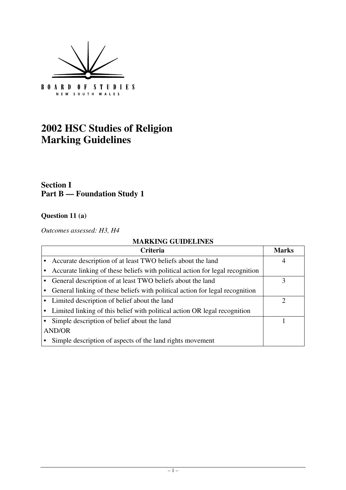

# **2002 HSC Studies of Religion Marking Guidelines**

# **Section I Part B — Foundation Study 1**

# **Question 11 (a)**

*Outcomes assessed: H3, H4*

| Criteria                                                                      | <b>Marks</b>                |  |
|-------------------------------------------------------------------------------|-----------------------------|--|
| Accurate description of at least TWO beliefs about the land                   | 4                           |  |
| Accurate linking of these beliefs with political action for legal recognition |                             |  |
| General description of at least TWO beliefs about the land                    | 3                           |  |
| General linking of these beliefs with political action for legal recognition  |                             |  |
| • Limited description of belief about the land                                | $\mathcal{D}_{\mathcal{A}}$ |  |
| • Limited linking of this belief with political action OR legal recognition   |                             |  |
| Simple description of belief about the land                                   |                             |  |
| <b>AND/OR</b>                                                                 |                             |  |
| Simple description of aspects of the land rights movement                     |                             |  |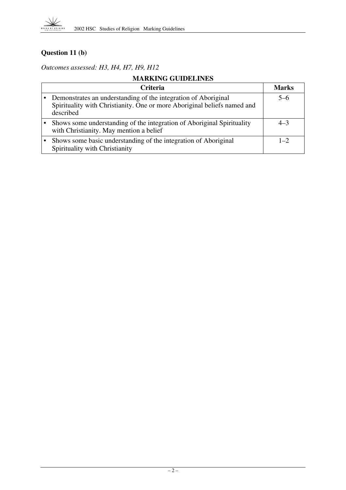

# **Question 11 (b)**

*Outcomes assessed: H3, H4, H7, H9, H12*

| <b>Criteria</b>                                                                                                                                         | <b>Marks</b> |
|---------------------------------------------------------------------------------------------------------------------------------------------------------|--------------|
| Demonstrates an understanding of the integration of Aboriginal<br>Spirituality with Christianity. One or more Aboriginal beliefs named and<br>described | $5-6$        |
| Shows some understanding of the integration of Aboriginal Spirituality<br>with Christianity. May mention a belief                                       | $4 - 3$      |
| Shows some basic understanding of the integration of Aboriginal<br>Spirituality with Christianity                                                       | $1 - 2$      |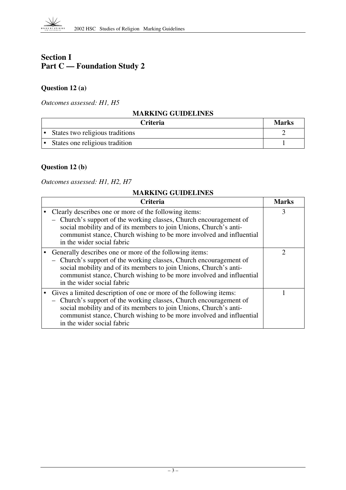# **Section I Part C — Foundation Study 2**

# **Question 12 (a)**

*Outcomes assessed: H1, H5*

#### **MARKING GUIDELINES**

| Criteria                        | <b>Marks</b> |
|---------------------------------|--------------|
| States two religious traditions |              |
| States one religious tradition  |              |

# **Question 12 (b)**

*Outcomes assessed: H1, H2, H7*

| Criteria                                                                                                                                                                                                                                                                                                            | Marks |
|---------------------------------------------------------------------------------------------------------------------------------------------------------------------------------------------------------------------------------------------------------------------------------------------------------------------|-------|
| Clearly describes one or more of the following items:<br>- Church's support of the working classes, Church encouragement of<br>social mobility and of its members to join Unions, Church's anti-<br>communist stance, Church wishing to be more involved and influential<br>in the wider social fabric              | 3     |
| Generally describes one or more of the following items:<br>- Church's support of the working classes, Church encouragement of<br>social mobility and of its members to join Unions, Church's anti-<br>communist stance, Church wishing to be more involved and influential<br>in the wider social fabric            | 2     |
| Gives a limited description of one or more of the following items:<br>- Church's support of the working classes, Church encouragement of<br>social mobility and of its members to join Unions, Church's anti-<br>communist stance, Church wishing to be more involved and influential<br>in the wider social fabric |       |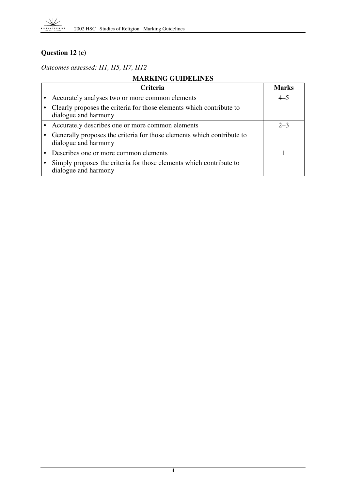

# **Question 12 (c)**

*Outcomes assessed: H1, H5, H7, H12*

| Criteria                                                                                       | <b>Marks</b> |
|------------------------------------------------------------------------------------------------|--------------|
| Accurately analyses two or more common elements                                                | $4 - 5$      |
| Clearly proposes the criteria for those elements which contribute to<br>dialogue and harmony   |              |
| Accurately describes one or more common elements                                               | $2 - 3$      |
| Generally proposes the criteria for those elements which contribute to<br>dialogue and harmony |              |
| Describes one or more common elements                                                          |              |
| Simply proposes the criteria for those elements which contribute to<br>dialogue and harmony    |              |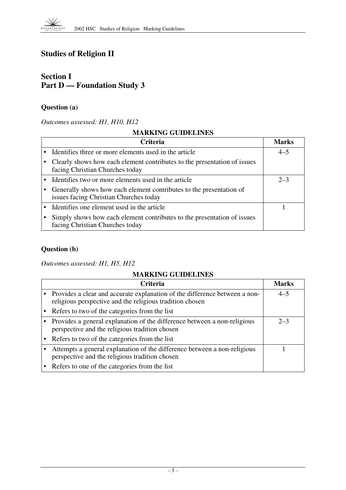# **Studies of Religion II**

# **Section I Part D — Foundation Study 3**

# **Question (a)**

#### *Outcomes assessed: H1, H10, H12*

### **MARKING GUIDELINES**

| <b>Criteria</b>                                                                                               | <b>Marks</b> |
|---------------------------------------------------------------------------------------------------------------|--------------|
| Identifies three or more elements used in the article                                                         | $4 - 5$      |
| Clearly shows how each element contributes to the presentation of issues<br>facing Christian Churches today   |              |
| Identifies two or more elements used in the article                                                           | $2 - 3$      |
| Generally shows how each element contributes to the presentation of<br>issues facing Christian Churches today |              |
| Identifies one element used in the article                                                                    |              |
| Simply shows how each element contributes to the presentation of issues<br>facing Christian Churches today    |              |

# **Question (b)**

*Outcomes assessed: H1, H5, H12*

| <b>Criteria</b>                                                                                                                        | <b>Marks</b> |
|----------------------------------------------------------------------------------------------------------------------------------------|--------------|
| Provides a clear and accurate explanation of the difference between a non-<br>religious perspective and the religious tradition chosen | $4 - 5$      |
| Refers to two of the categories from the list                                                                                          |              |
| Provides a general explanation of the difference between a non-religious<br>perspective and the religious tradition chosen             | $2 - 3$      |
| Refers to two of the categories from the list                                                                                          |              |
| Attempts a general explanation of the difference between a non-religious<br>perspective and the religious tradition chosen             |              |
| Refers to one of the categories from the list                                                                                          |              |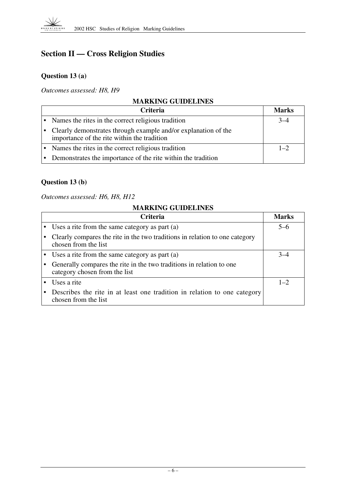# **Section II — Cross Religion Studies**

# **Question 13 (a)**

*Outcomes assessed: H8, H9*

| <b>MARKING GUIDELINES</b> |                                                                                                                 |              |
|---------------------------|-----------------------------------------------------------------------------------------------------------------|--------------|
|                           | <b>Criteria</b>                                                                                                 | <b>Marks</b> |
|                           | • Names the rites in the correct religious tradition                                                            | $3 - 4$      |
|                           | • Clearly demonstrates through example and/or explanation of the<br>importance of the rite within the tradition |              |
|                           | • Names the rites in the correct religious tradition                                                            | $1 - 2$      |
|                           | • Demonstrates the importance of the rite within the tradition                                                  |              |

# **Question 13 (b)**

*Outcomes assessed: H6, H8, H12*

| <b>Criteria</b>                                                                                        | Marks   |
|--------------------------------------------------------------------------------------------------------|---------|
| • Uses a rite from the same category as part (a)                                                       | $5-6$   |
| Clearly compares the rite in the two traditions in relation to one category<br>chosen from the list    |         |
| • Uses a rite from the same category as part (a)                                                       |         |
| Generally compares the rite in the two traditions in relation to one.<br>category chosen from the list |         |
| Uses a rite                                                                                            | $1 - 2$ |
| Describes the rite in at least one tradition in relation to one category<br>chosen from the list       |         |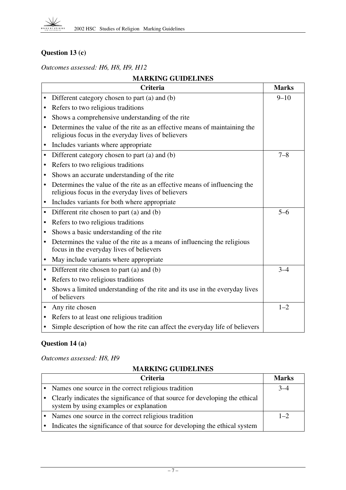# **Question 13 (c)**

*Outcomes assessed: H6, H8, H9, H12*

| <b>MARKING GUIDELINES</b>                                                                                                                    |              |  |
|----------------------------------------------------------------------------------------------------------------------------------------------|--------------|--|
| <b>Criteria</b>                                                                                                                              | <b>Marks</b> |  |
| Different category chosen to part (a) and (b)<br>$\bullet$                                                                                   | $9 - 10$     |  |
| Refers to two religious traditions<br>$\bullet$                                                                                              |              |  |
| Shows a comprehensive understanding of the rite<br>$\bullet$                                                                                 |              |  |
| Determines the value of the rite as an effective means of maintaining the<br>religious focus in the everyday lives of believers              |              |  |
| Includes variants where appropriate<br>$\bullet$                                                                                             |              |  |
| Different category chosen to part (a) and (b)<br>$\bullet$                                                                                   | $7 - 8$      |  |
| Refers to two religious traditions<br>$\bullet$                                                                                              |              |  |
| Shows an accurate understanding of the rite<br>٠                                                                                             |              |  |
| Determines the value of the rite as an effective means of influencing the<br>$\bullet$<br>religious focus in the everyday lives of believers |              |  |
| Includes variants for both where appropriate<br>$\bullet$                                                                                    |              |  |
| Different rite chosen to part (a) and (b)<br>$\bullet$                                                                                       | $5 - 6$      |  |
| Refers to two religious traditions<br>$\bullet$                                                                                              |              |  |
| Shows a basic understanding of the rite                                                                                                      |              |  |
| Determines the value of the rite as a means of influencing the religious<br>focus in the everyday lives of believers                         |              |  |
| May include variants where appropriate<br>$\bullet$                                                                                          |              |  |
| Different rite chosen to part (a) and (b)<br>$\bullet$                                                                                       | $3 - 4$      |  |
| Refers to two religious traditions                                                                                                           |              |  |
| Shows a limited understanding of the rite and its use in the everyday lives<br>$\bullet$<br>of believers                                     |              |  |
| Any rite chosen                                                                                                                              | $1 - 2$      |  |
| Refers to at least one religious tradition                                                                                                   |              |  |
| Simple description of how the rite can affect the everyday life of believers                                                                 |              |  |

# **Question 14 (a)**

*Outcomes assessed: H8, H9*

| <b>Criteria</b>                                                                                                         | <b>Marks</b> |
|-------------------------------------------------------------------------------------------------------------------------|--------------|
| Names one source in the correct religious tradition                                                                     |              |
| Clearly indicates the significance of that source for developing the ethical<br>system by using examples or explanation |              |
| Names one source in the correct religious tradition                                                                     | $1 - 2$      |
| Indicates the significance of that source for developing the ethical system                                             |              |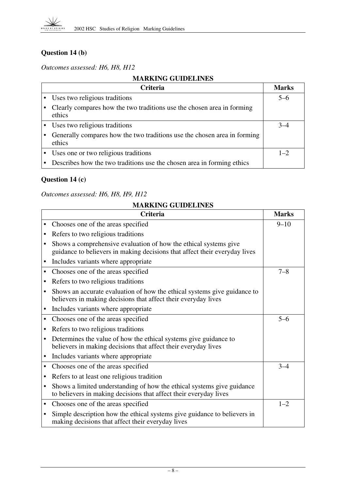# **Question 14 (b)**

*Outcomes assessed: H6, H8, H12*

# **MARKING GUIDELINES**

| <b>Criteria</b>                                                                    | <b>Marks</b> |
|------------------------------------------------------------------------------------|--------------|
| Uses two religious traditions                                                      | $5-6$        |
| Clearly compares how the two traditions use the chosen area in forming<br>ethics   |              |
| Uses two religious traditions                                                      | $3-4$        |
| Generally compares how the two traditions use the chosen area in forming<br>ethics |              |
| Uses one or two religious traditions                                               | $1 - 2$      |
| Describes how the two traditions use the chosen area in forming ethics             |              |

# **Question 14 (c)**

#### *Outcomes assessed: H6, H8, H9, H12*

|   | <b>Criteria</b>                                                                                                                                | <b>Marks</b> |
|---|------------------------------------------------------------------------------------------------------------------------------------------------|--------------|
|   | Chooses one of the areas specified                                                                                                             | $9 - 10$     |
|   | Refers to two religious traditions                                                                                                             |              |
|   | Shows a comprehensive evaluation of how the ethical systems give<br>guidance to believers in making decisions that affect their everyday lives |              |
| ٠ | Includes variants where appropriate                                                                                                            |              |
|   | Chooses one of the areas specified                                                                                                             | $7 - 8$      |
|   | Refers to two religious traditions                                                                                                             |              |
|   | Shows an accurate evaluation of how the ethical systems give guidance to<br>believers in making decisions that affect their everyday lives     |              |
|   | Includes variants where appropriate                                                                                                            |              |
|   | Chooses one of the areas specified                                                                                                             | $5 - 6$      |
|   | Refers to two religious traditions                                                                                                             |              |
|   | Determines the value of how the ethical systems give guidance to<br>believers in making decisions that affect their everyday lives             |              |
|   | Includes variants where appropriate                                                                                                            |              |
| ٠ | Chooses one of the areas specified                                                                                                             | $3 - 4$      |
| ٠ | Refers to at least one religious tradition                                                                                                     |              |
|   | Shows a limited understanding of how the ethical systems give guidance<br>to believers in making decisions that affect their everyday lives    |              |
|   | Chooses one of the areas specified                                                                                                             | $1 - 2$      |
|   | Simple description how the ethical systems give guidance to believers in<br>making decisions that affect their everyday lives                  |              |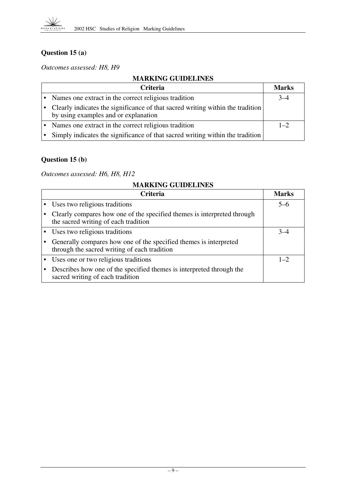

# **Question 15 (a)**

*Outcomes assessed: H8, H9*

# **MARKING GUIDELINES**

| <b>Criteria</b>                                                                                                        | <b>Marks</b> |
|------------------------------------------------------------------------------------------------------------------------|--------------|
| • Names one extract in the correct religious tradition                                                                 | $3 - 4$      |
| Clearly indicates the significance of that sacred writing within the tradition<br>by using examples and or explanation |              |
| Names one extract in the correct religious tradition                                                                   | $1 - 2$      |
| Simply indicates the significance of that sacred writing within the tradition                                          |              |

# **Question 15 (b)**

*Outcomes assessed: H6, H8, H12*

| <b>Criteria</b>                                                                                                   | <b>Marks</b> |
|-------------------------------------------------------------------------------------------------------------------|--------------|
| Uses two religious traditions                                                                                     | $5-6$        |
| Clearly compares how one of the specified themes is interpreted through<br>the sacred writing of each tradition   |              |
| Uses two religious traditions                                                                                     |              |
| Generally compares how one of the specified themes is interpreted<br>through the sacred writing of each tradition |              |
| Uses one or two religious traditions                                                                              | $1 - 2$      |
| Describes how one of the specified themes is interpreted through the<br>sacred writing of each tradition          |              |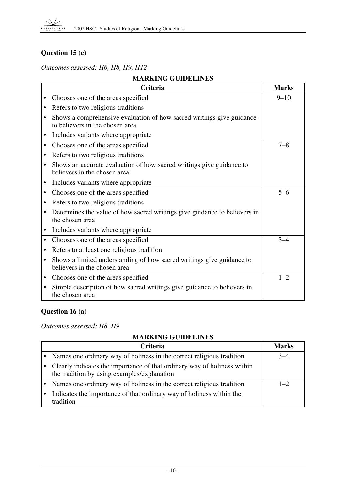# **Question 15 (c)**

*Outcomes assessed: H6, H8, H9, H12*

| <b>MARKING GUIDELINES</b>                                                                                             |              |  |
|-----------------------------------------------------------------------------------------------------------------------|--------------|--|
| <b>Criteria</b>                                                                                                       | <b>Marks</b> |  |
| Chooses one of the areas specified                                                                                    | $9 - 10$     |  |
| Refers to two religious traditions<br>$\bullet$                                                                       |              |  |
| Shows a comprehensive evaluation of how sacred writings give guidance<br>$\bullet$<br>to believers in the chosen area |              |  |
| Includes variants where appropriate<br>$\bullet$                                                                      |              |  |
| Chooses one of the areas specified<br>$\bullet$                                                                       | $7 - 8$      |  |
| Refers to two religious traditions<br>$\bullet$                                                                       |              |  |
| Shows an accurate evaluation of how sacred writings give guidance to<br>$\bullet$<br>believers in the chosen area     |              |  |
| Includes variants where appropriate<br>$\bullet$                                                                      |              |  |
| Chooses one of the areas specified<br>$\bullet$                                                                       | $5 - 6$      |  |
| Refers to two religious traditions<br>$\bullet$                                                                       |              |  |
| Determines the value of how sacred writings give guidance to believers in<br>the chosen area                          |              |  |
| Includes variants where appropriate                                                                                   |              |  |
| Chooses one of the areas specified<br>$\bullet$                                                                       | $3 - 4$      |  |
| Refers to at least one religious tradition<br>$\bullet$                                                               |              |  |
| Shows a limited understanding of how sacred writings give guidance to<br>$\bullet$<br>believers in the chosen area    |              |  |
| Chooses one of the areas specified<br>$\bullet$                                                                       | $1 - 2$      |  |
| Simple description of how sacred writings give guidance to believers in<br>the chosen area                            |              |  |

# **Question 16 (a)**

*Outcomes assessed: H8, H9*

| <b>Criteria</b>                                                                                                         | Marks   |
|-------------------------------------------------------------------------------------------------------------------------|---------|
| • Names one ordinary way of holiness in the correct religious tradition                                                 | $3 - 4$ |
| Clearly indicates the importance of that ordinary way of holiness within<br>the tradition by using examples/explanation |         |
| • Names one ordinary way of holiness in the correct religious tradition                                                 | $1 - 2$ |
| Indicates the importance of that ordinary way of holiness within the<br>tradition                                       |         |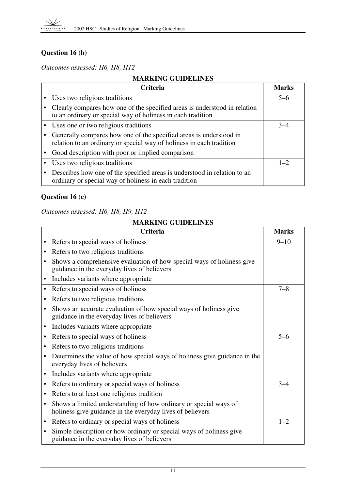

# **Question 16 (b)**

*Outcomes assessed: H6, H8, H12*

# **MARKING GUIDELINES**

| <b>Criteria</b>                                                                                                                            | <b>Marks</b> |
|--------------------------------------------------------------------------------------------------------------------------------------------|--------------|
| Uses two religious traditions                                                                                                              | $5-6$        |
| Clearly compares how one of the specified areas is understood in relation<br>to an ordinary or special way of holiness in each tradition   |              |
| Uses one or two religious traditions                                                                                                       |              |
| Generally compares how one of the specified areas is understood in<br>relation to an ordinary or special way of holiness in each tradition |              |
| Good description with poor or implied comparison                                                                                           |              |
| Uses two religious traditions                                                                                                              | $1 - 2$      |
| Describes how one of the specified areas is understood in relation to an<br>ordinary or special way of holiness in each tradition          |              |

# **Question 16 (c)**

### *Outcomes assessed: H6, H8, H9, H12*

|           | <b>Criteria</b>                                                                                                               | <b>Marks</b> |
|-----------|-------------------------------------------------------------------------------------------------------------------------------|--------------|
|           | Refers to special ways of holiness                                                                                            | $9 - 10$     |
| ٠         | Refers to two religious traditions                                                                                            |              |
|           | Shows a comprehensive evaluation of how special ways of holiness give<br>guidance in the everyday lives of believers          |              |
|           | Includes variants where appropriate                                                                                           |              |
|           | Refers to special ways of holiness                                                                                            | $7 - 8$      |
| $\bullet$ | Refers to two religious traditions                                                                                            |              |
| $\bullet$ | Shows an accurate evaluation of how special ways of holiness give<br>guidance in the everyday lives of believers              |              |
| $\bullet$ | Includes variants where appropriate                                                                                           |              |
| $\bullet$ | Refers to special ways of holiness                                                                                            | $5 - 6$      |
|           | Refers to two religious traditions                                                                                            |              |
| $\bullet$ | Determines the value of how special ways of holiness give guidance in the<br>everyday lives of believers                      |              |
|           | Includes variants where appropriate                                                                                           |              |
| $\bullet$ | Refers to ordinary or special ways of holiness                                                                                | $3 - 4$      |
|           | Refers to at least one religious tradition                                                                                    |              |
|           | Shows a limited understanding of how ordinary or special ways of<br>holiness give guidance in the everyday lives of believers |              |
|           | Refers to ordinary or special ways of holiness                                                                                | $1 - 2$      |
|           | Simple description or how ordinary or special ways of holiness give<br>guidance in the everyday lives of believers            |              |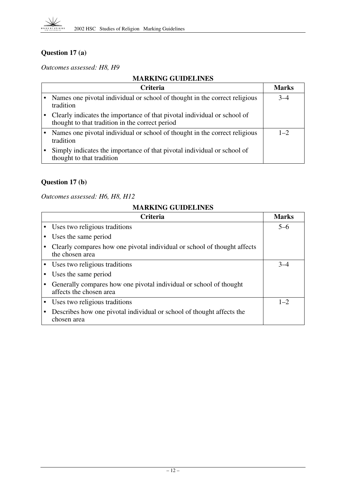

# **Question 17 (a)**

*Outcomes assessed: H8, H9*

#### **MARKING GUIDELINES**

| <b>Criteria</b>                                                                                                             | <b>Marks</b> |
|-----------------------------------------------------------------------------------------------------------------------------|--------------|
| Names one pivotal individual or school of thought in the correct religious<br>tradition                                     | $3 - 4$      |
| Clearly indicates the importance of that pivotal individual or school of<br>thought to that tradition in the correct period |              |
| Names one pivotal individual or school of thought in the correct religious<br>tradition                                     | $1 - 2$      |
| Simply indicates the importance of that pivotal individual or school of<br>thought to that tradition                        |              |

# **Question 17 (b)**

*Outcomes assessed: H6, H8, H12*

| <b>Criteria</b>                                                                               | <b>Marks</b> |
|-----------------------------------------------------------------------------------------------|--------------|
| Uses two religious traditions                                                                 | $5 - 6$      |
| Uses the same period                                                                          |              |
| Clearly compares how one pivotal individual or school of thought affects<br>the chosen area   |              |
| Uses two religious traditions                                                                 | $3 - 4$      |
| Uses the same period                                                                          |              |
| Generally compares how one pivotal individual or school of thought<br>affects the chosen area |              |
| Uses two religious traditions                                                                 | $1 - 2$      |
| Describes how one pivotal individual or school of thought affects the<br>chosen area          |              |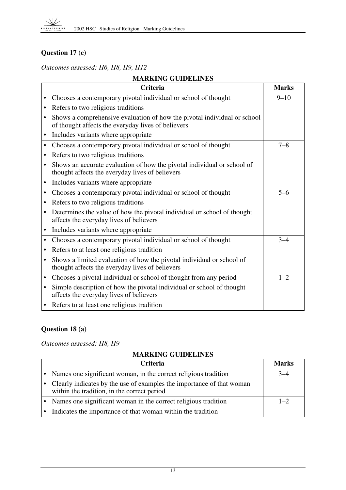# **Question 17 (c)**

*Outcomes assessed: H6, H8, H9, H12*

| <b>MARKING GUIDELINES</b>                                                                                                               |              |  |
|-----------------------------------------------------------------------------------------------------------------------------------------|--------------|--|
| <b>Criteria</b>                                                                                                                         | <b>Marks</b> |  |
| Chooses a contemporary pivotal individual or school of thought                                                                          | $9 - 10$     |  |
| Refers to two religious traditions<br>٠                                                                                                 |              |  |
| Shows a comprehensive evaluation of how the pivotal individual or school<br>of thought affects the everyday lives of believers          |              |  |
| Includes variants where appropriate<br>$\bullet$                                                                                        |              |  |
| Chooses a contemporary pivotal individual or school of thought<br>$\bullet$                                                             | $7 - 8$      |  |
| Refers to two religious traditions<br>$\bullet$                                                                                         |              |  |
| Shows an accurate evaluation of how the pivotal individual or school of<br>$\bullet$<br>thought affects the everyday lives of believers |              |  |
| Includes variants where appropriate<br>$\bullet$                                                                                        |              |  |
| Chooses a contemporary pivotal individual or school of thought<br>$\bullet$                                                             | $5 - 6$      |  |
| Refers to two religious traditions<br>$\bullet$                                                                                         |              |  |
| Determines the value of how the pivotal individual or school of thought<br>$\bullet$<br>affects the everyday lives of believers         |              |  |
| Includes variants where appropriate<br>$\bullet$                                                                                        |              |  |
| Chooses a contemporary pivotal individual or school of thought<br>$\bullet$                                                             | $3 - 4$      |  |
| Refers to at least one religious tradition<br>$\bullet$                                                                                 |              |  |
| Shows a limited evaluation of how the pivotal individual or school of<br>$\bullet$<br>thought affects the everyday lives of believers   |              |  |
| Chooses a pivotal individual or school of thought from any period<br>$\bullet$                                                          | $1 - 2$      |  |
| Simple description of how the pivotal individual or school of thought<br>$\bullet$<br>affects the everyday lives of believers           |              |  |
| Refers to at least one religious tradition                                                                                              |              |  |

# **Question 18 (a)**

*Outcomes assessed: H8, H9*

| <b>Criteria</b>                                                                                                      | Marks   |
|----------------------------------------------------------------------------------------------------------------------|---------|
| Names one significant woman, in the correct religious tradition                                                      | $3 - 4$ |
| Clearly indicates by the use of examples the importance of that woman<br>within the tradition, in the correct period |         |
| Names one significant woman in the correct religious tradition                                                       | $1 - 2$ |
| Indicates the importance of that woman within the tradition                                                          |         |